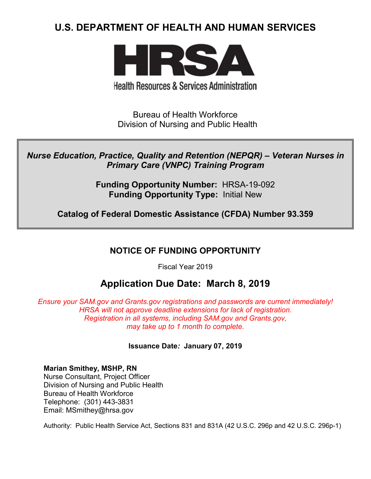# **U.S. DEPARTMENT OF HEALTH AND HUMAN SERVICES**



**Health Resources & Services Administration** 

Bureau of Health Workforce Division of Nursing and Public Health

*Nurse Education, Practice, Quality and Retention (NEPQR) – Veteran Nurses in Primary Care (VNPC) Training Program*

> **Funding Opportunity Number:** HRSA-19-092 **Funding Opportunity Type:** Initial New

**Catalog of Federal Domestic Assistance (CFDA) Number 93.359**

# **NOTICE OF FUNDING OPPORTUNITY**

Fiscal Year 2019

# **Application Due Date: March 8, 2019**

*Ensure your SAM.gov and Grants.gov registrations and passwords are current immediately! HRSA will not approve deadline extensions for lack of registration. Registration in all systems, including SAM.gov and Grants.gov, may take up to 1 month to complete.*

**Issuance Date***:* **January 07, 2019**

**Marian Smithey, MSHP, RN** Nurse Consultant, Project Officer Division of Nursing and Public Health Bureau of Health Workforce Telephone: (301) 443-3831

Email: MSmithey@hrsa.gov

Authority: Public Health Service Act, Sections 831 and 831A (42 U.S.C. 296p and 42 U.S.C. 296p-1)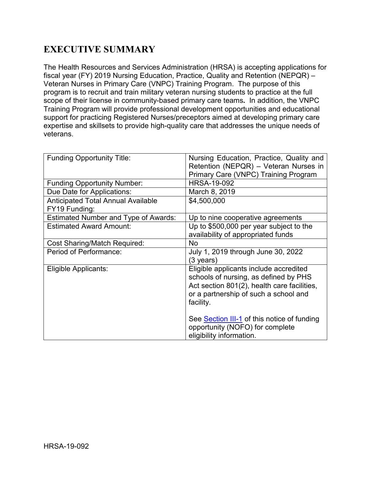# **EXECUTIVE SUMMARY**

The Health Resources and Services Administration (HRSA) is accepting applications for fiscal year (FY) 2019 Nursing Education, Practice, Quality and Retention (NEPQR) – Veteran Nurses in Primary Care (VNPC) Training Program. The purpose of this program is to recruit and train military veteran nursing students to practice at the full scope of their license in community-based primary care teams**.** In addition, the VNPC Training Program will provide professional development opportunities and educational support for practicing Registered Nurses/preceptors aimed at developing primary care expertise and skillsets to provide high-quality care that addresses the unique needs of veterans.

| <b>Funding Opportunity Title:</b>           | Nursing Education, Practice, Quality and    |
|---------------------------------------------|---------------------------------------------|
|                                             | Retention (NEPQR) – Veteran Nurses in       |
|                                             | Primary Care (VNPC) Training Program        |
| <b>Funding Opportunity Number:</b>          | <b>HRSA-19-092</b>                          |
| Due Date for Applications:                  | March 8, 2019                               |
| <b>Anticipated Total Annual Available</b>   | \$4,500,000                                 |
| FY19 Funding:                               |                                             |
| <b>Estimated Number and Type of Awards:</b> | Up to nine cooperative agreements           |
| <b>Estimated Award Amount:</b>              | Up to \$500,000 per year subject to the     |
|                                             | availability of appropriated funds          |
| <b>Cost Sharing/Match Required:</b>         | <b>No</b>                                   |
| Period of Performance:                      | July 1, 2019 through June 30, 2022          |
|                                             | (3 years)                                   |
| Eligible Applicants:                        | Eligible applicants include accredited      |
|                                             | schools of nursing, as defined by PHS       |
|                                             | Act section 801(2), health care facilities, |
|                                             | or a partnership of such a school and       |
|                                             | facility.                                   |
|                                             |                                             |
|                                             | See Section III-1 of this notice of funding |
|                                             | opportunity (NOFO) for complete             |
|                                             | eligibility information.                    |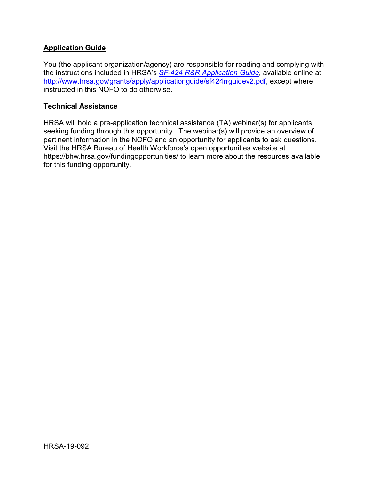#### **Application Guide**

You (the applicant organization/agency) are responsible for reading and complying with the instructions included in HRSA's *SF-424 [R&R Application Guide,](http://www.hrsa.gov/grants/apply/applicationguide/sf424rrguidev2.pdf)* available online at [http://www.hrsa.gov/grants/apply/applicationguide/sf424rrguidev2.pdf,](http://www.hrsa.gov/grants/apply/applicationguide/sf424rrguidev2.pdf) except where instructed in this NOFO to do otherwise.

#### **Technical Assistance**

HRSA will hold a pre-application technical assistance (TA) webinar(s) for applicants seeking funding through this opportunity. The webinar(s) will provide an overview of pertinent information in the NOFO and an opportunity for applicants to ask questions. Visit the HRSA Bureau of Health Workforce's open opportunities website at <https://bhw.hrsa.gov/fundingopportunities/> to learn more about the resources available for this funding opportunity.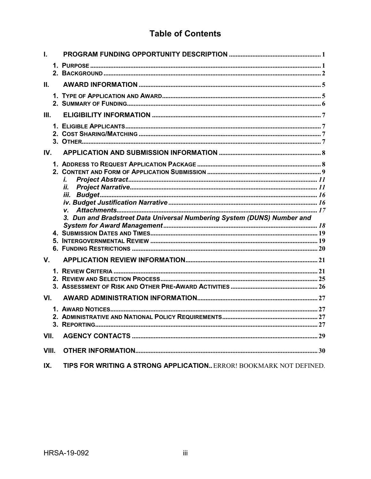# **Table of Contents**

| L.    |                                                                         |  |
|-------|-------------------------------------------------------------------------|--|
|       |                                                                         |  |
| П.    |                                                                         |  |
|       |                                                                         |  |
| III.  |                                                                         |  |
|       |                                                                         |  |
| IV.   |                                                                         |  |
|       | Ĭ.<br>İİ.                                                               |  |
|       | iii.                                                                    |  |
|       |                                                                         |  |
|       | 3. Dun and Bradstreet Data Universal Numbering System (DUNS) Number and |  |
|       |                                                                         |  |
|       |                                                                         |  |
|       |                                                                         |  |
| V.    |                                                                         |  |
|       |                                                                         |  |
|       |                                                                         |  |
|       |                                                                         |  |
| VI.   |                                                                         |  |
|       |                                                                         |  |
|       |                                                                         |  |
| VII.  |                                                                         |  |
|       |                                                                         |  |
| VIII. |                                                                         |  |
| IX.   | TIPS FOR WRITING A STRONG APPLICATIONERROR! BOOKMARK NOT DEFINED.       |  |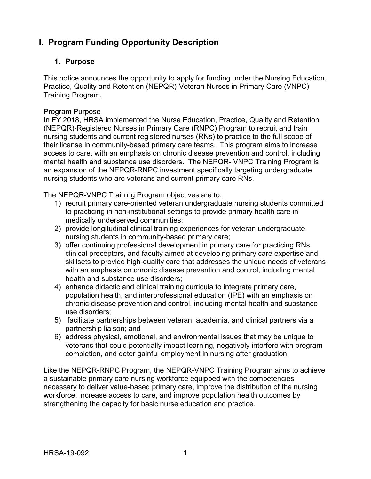# <span id="page-4-0"></span>**I. Program Funding Opportunity Description**

## <span id="page-4-1"></span>**1. Purpose**

This notice announces the opportunity to apply for funding under the Nursing Education, Practice, Quality and Retention (NEPQR)-Veteran Nurses in Primary Care (VNPC) Training Program.

#### Program Purpose

In FY 2018, HRSA implemented the [Nurse Education, Practice, Quality and Retention](https://bhw.hrsa.gov/fundingopportunities/?id=f5ad18f6-eafc-4c72-baf1-5ad606a354c3)  [\(NEPQR\)-Registered Nurses in Primary Care \(RNPC\) Program](https://bhw.hrsa.gov/fundingopportunities/?id=f5ad18f6-eafc-4c72-baf1-5ad606a354c3) to recruit and train nursing students and current registered nurses (RNs) to practice to the full scope of their license in community-based primary care teams. This program aims to increase access to care, with an emphasis on chronic disease prevention and control, including mental health and substance use disorders. The NEPQR- VNPC Training Program is an expansion of the NEPQR-RNPC investment specifically targeting undergraduate nursing students who are veterans and current primary care RNs.

The NEPQR-VNPC Training Program objectives are to:

- 1) recruit primary care-oriented veteran undergraduate nursing students committed to practicing in non-institutional settings to provide primary health care in medically underserved communities;
- 2) provide longitudinal clinical training experiences for veteran undergraduate nursing students in community-based primary care;
- 3) offer continuing professional development in primary care for practicing RNs, clinical preceptors, and faculty aimed at developing primary care expertise and skillsets to provide high-quality care that addresses the unique needs of veterans with an emphasis on chronic disease prevention and control, including mental health and substance use disorders;
- 4) enhance didactic and clinical training curricula to integrate primary care, population health, and interprofessional education (IPE) with an emphasis on chronic disease prevention and control, including mental health and substance use disorders;
- 5) facilitate partnerships between veteran, academia, and clinical partners via a partnership liaison; and
- 6) address physical, emotional, and environmental issues that may be unique to veterans that could potentially impact learning, negatively interfere with program completion, and deter gainful employment in nursing after graduation.

Like the NEPQR-RNPC Program, the NEPQR-VNPC Training Program aims to achieve a sustainable primary care nursing workforce equipped with the competencies necessary to deliver value-based primary care, improve the distribution of the nursing workforce, increase access to care, and improve population health outcomes by strengthening the capacity for basic nurse education and practice.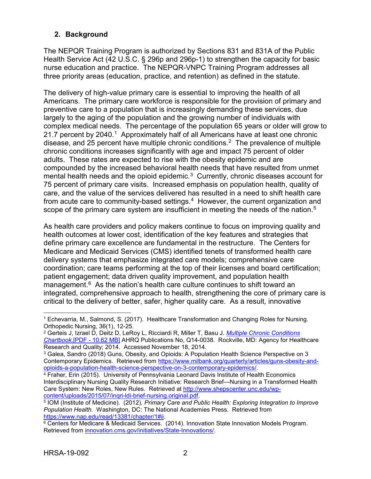### <span id="page-5-0"></span>**2. Background**

The NEPQR Training Program is authorized by Sections 831 and 831A of the Public Health Service Act (42 U.S.C. § 296p and 296p-1) to strengthen the capacity for basic nurse education and practice. The NEPQR-VNPC Training Program addresses all three priority areas (education, practice, and retention) as defined in the statute.

The delivery of high-value primary care is essential to improving the health of all Americans. The primary care workforce is responsible for the provision of primary and preventive care to a population that is increasingly demanding these services, due largely to the aging of the population and the growing number of individuals with complex medical needs. The percentage of the population 65 years or older will grow to 2[1](#page-5-1).7 percent by 2040.<sup>1</sup> Approximately half of all Americans have at least one chronic disease, and 25 percent have multiple chronic conditions.<sup>2</sup> The prevalence of multiple chronic conditions increases significantly with age and impact 75 percent of older adults. These rates are expected to rise with the obesity epidemic and are compounded by the increased behavioral health needs that have resulted from unmet mental health needs and the opioid epidemic.<sup>3</sup> Currently, chronic diseases account for 75 percent of primary care visits. Increased emphasis on population health, quality of care, and the value of the services delivered has resulted in a need to shift health care from acute care to community-based settings.<sup>4</sup> However, the current organization and scope of the primary care system are insufficient in meeting the needs of the nation.<sup>[5](#page-5-5)</sup>

As health care providers and policy makers continue to focus on improving quality and health outcomes at lower cost, identification of the key features and strategies that define primary care excellence are fundamental in the restructure. The Centers for Medicare and Medicaid Services (CMS) identified tenets of transformed health care delivery systems that emphasize integrated care models; comprehensive care coordination; care teams performing at the top of their licenses and board certification; patient engagement; data driven quality improvement, and population health management. $6$  As the nation's health care culture continues to shift toward an integrated, comprehensive approach to health, strengthening the core of primary care is critical to the delivery of better, safer, higher quality care. As a result, innovative

<span id="page-5-1"></span> $\overline{a}$ <sup>1</sup> Echevarria, M., Salmond, S. (2017). Healthcare Transformation and Changing Roles for Nursing. Orthopedic Nursing, 36(1), 12-25.

<span id="page-5-2"></span><sup>2</sup> Gerteis J, Izrael D, Deitz D, LeRoy L, Ricciardi R, Miller T, Basu J. *[Multiple Chronic Conditions](http://www.ahrq.gov/sites/default/files/wysiwyg/professionals/prevention-chronic-care/decision/mcc/mccchartbook.pdf)  [Chartbook.](http://www.ahrq.gov/sites/default/files/wysiwyg/professionals/prevention-chronic-care/decision/mcc/mccchartbook.pdf)*[PDF - 10.62 MB] AHRQ Publications No, Q14-0038. Rockville, MD: Agency for Healthcare Research and Quality; 2014. Accessed November 18, 2014.

<span id="page-5-3"></span><sup>3</sup> Galea, Sandro (2018) Guns, Obesity, and Opioids: A Population Health Science Perspective on 3 Contemporary Epidemics. Retrieved from [https://www.milbank.org/quarterly/articles/guns-obesity-and](https://www.milbank.org/quarterly/articles/guns-obesity-and-opioids-a-population-health-science-perspective-on-3-contemporary-epidemics/)[opioids-a-population-health-science-perspective-on-3-contemporary-epidemics/.](https://www.milbank.org/quarterly/articles/guns-obesity-and-opioids-a-population-health-science-perspective-on-3-contemporary-epidemics/)

<span id="page-5-4"></span><sup>&</sup>lt;sup>4</sup> Fraher, Erin (2015). University of Pennsylvania Leonard Davis Institute of Health Economics Interdisciplinary Nursing Quality Research Initiative: Research Brief—Nursing in a Transformed Health Care System: New Roles, New Rules. Retrieved at [http://www.shepscenter.unc.edu/wp](http://www.shepscenter.unc.edu/wp-content/uploads/2015/07/inqri-ldi-brief-nursing.original.pdf)[content/uploads/2015/07/inqri-ldi-brief-nursing.original.pdf.](http://www.shepscenter.unc.edu/wp-content/uploads/2015/07/inqri-ldi-brief-nursing.original.pdf)

<span id="page-5-5"></span><sup>5</sup> IOM (Institute of Medicine). (2012)*. Primary Care and Public Health: Exploring Integration to Improve Population Health.* Washington, DC: The National Academies Press. Retrieved from [https://www.nap.edu/read/13381/chapter/1#ii.](https://www.nap.edu/read/13381/chapter/1#ii)

<span id="page-5-6"></span> $6$  Centers for Medicare & Medicaid Services. (2014). Innovation State Innovation Models Program. Retrieved from [innovation.cms.gov/initiatives/State-Innovations/](http://innovation.cms.gov/initiatives/State-Innovations/).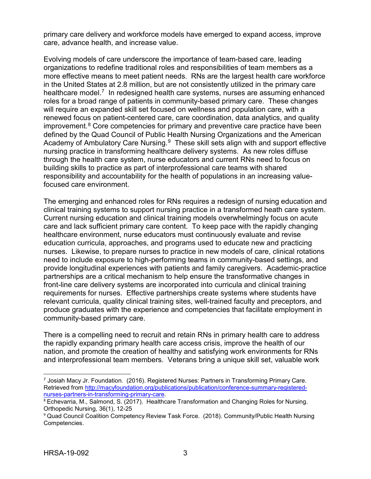primary care delivery and workforce models have emerged to expand access, improve care, advance health, and increase value.

Evolving models of care underscore the importance of team-based care, leading organizations to redefine traditional roles and responsibilities of team members as a more effective means to meet patient needs. RNs are the largest health care workforce in the United States at 2.8 million, but are not consistently utilized in the primary care healthcare model.<sup>[7](#page-6-0)</sup> In redesigned health care systems, nurses are assuming enhanced roles for a broad range of patients in community-based primary care. These changes will require an expanded skill set focused on wellness and population care, with a renewed focus on patient-centered care, care coordination, data analytics, and quality improvement. $8$  Core competencies for primary and preventive care practice have been defined by the Quad Council of Public Health Nursing Organizations and the American Academy of Ambulatory Care Nursing.<sup>9</sup> These skill sets align with and support effective nursing practice in transforming healthcare delivery systems. As new roles diffuse through the health care system, nurse educators and current RNs need to focus on building skills to practice as part of interprofessional care teams with shared responsibility and accountability for the health of populations in an increasing valuefocused care environment.

The emerging and enhanced roles for RNs requires a redesign of nursing education and clinical training systems to support nursing practice in a transformed heath care system. Current nursing education and clinical training models overwhelmingly focus on acute care and lack sufficient primary care content. To keep pace with the rapidly changing healthcare environment, nurse educators must continuously evaluate and revise education curricula, approaches, and programs used to educate new and practicing nurses. Likewise, to prepare nurses to practice in new models of care, clinical rotations need to include exposure to high-performing teams in community-based settings, and provide longitudinal experiences with patients and family caregivers. Academic-practice partnerships are a critical mechanism to help ensure the transformative changes in front-line care delivery systems are incorporated into curricula and clinical training requirements for nurses. Effective partnerships create systems where students have relevant curricula, quality clinical training sites, well-trained faculty and preceptors, and produce graduates with the experience and competencies that facilitate employment in community-based primary care.

There is a compelling need to recruit and retain RNs in primary health care to address the rapidly expanding primary health care access crisis, improve the health of our nation, and promote the creation of healthy and satisfying work environments for RNs and interprofessional team members. Veterans bring a unique skill set, valuable work

 $\overline{a}$ 

<span id="page-6-0"></span><sup>7</sup> Josiah Macy Jr. Foundation. (2016). Registered Nurses: Partners in Transforming Primary Care. Retrieved from [http://macyfoundation.org/publications/publication/conference-summary-registered](http://macyfoundation.org/publications/publication/conference-summary-registered-nurses-partners-in-transforming-primary-care)[nurses-partners-in-transforming-primary-care.](http://macyfoundation.org/publications/publication/conference-summary-registered-nurses-partners-in-transforming-primary-care)

<span id="page-6-1"></span><sup>8</sup> Echevarria, M., Salmond, S. (2017). Healthcare Transformation and Changing Roles for Nursing. Orthopedic Nursing, 36(1), 12-25

<span id="page-6-2"></span><sup>&</sup>lt;sup>9</sup> Quad Council Coalition Competency Review Task Force. (2018). Community/Public Health Nursing Competencies.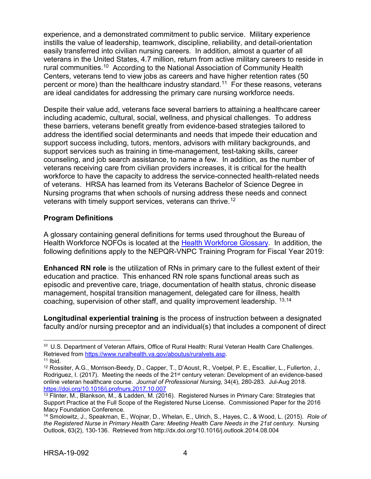experience, and a demonstrated commitment to public service. Military experience instills the value of leadership, teamwork, discipline, reliability, and detail-orientation easily transferred into civilian nursing careers. In addition, almost a quarter of all veterans in the United States, 4.7 million, return from active military careers to reside in rural communities.[10](#page-7-0) According to the National Association of Community Health Centers, veterans tend to view jobs as careers and have higher retention rates (50 percent or more) than the healthcare industry standard. [11](#page-7-1) For these reasons, veterans are ideal candidates for addressing the primary care nursing workforce needs.

Despite their value add, veterans face several barriers to attaining a healthcare career including academic, cultural, social, wellness, and physical challenges. To address these barriers, veterans benefit greatly from evidence-based strategies tailored to address the identified social determinants and needs that impede their education and support success including, tutors, mentors, advisors with military backgrounds, and support services such as training in time-management, test-taking skills, career counseling, and job search assistance, to name a few. In addition, as the number of veterans receiving care from civilian providers increases, it is critical for the health workforce to have the capacity to address the service-connected health-related needs of veterans. HRSA has learned from its Veterans Bachelor of Science Degree in Nursing programs that when schools of nursing address these needs and connect veterans with timely support services, veterans can thrive.<sup>[12](#page-7-2)</sup>

#### **Program Definitions**

A glossary containing general definitions for terms used throughout the Bureau of Health Workforce NOFOs is located at the [Health Workforce Glossary.](https://bhw.hrsa.gov/grants/resourcecenter/glossary) In addition, the following definitions apply to the NEPQR-VNPC Training Program for Fiscal Year 2019:

**Enhanced RN role** is the utilization of RNs in primary care to the fullest extent of their education and practice. This enhanced RN role spans functional areas such as episodic and preventive care, triage, documentation of health status, chronic disease management, hospital transition management, delegated care for illness, health coaching, supervision of other staff, and quality improvement leadership. [13,](#page-7-3)[14](#page-7-4)

**Longitudinal experiential training** is the process of instruction between a designated faculty and/or nursing preceptor and an individual(s) that includes a component of direct

 $\overline{a}$ 

<span id="page-7-0"></span><sup>10</sup> U.S. Department of Veteran Affairs, Office of Rural Health: Rural Veteran Health Care Challenges. Retrieved from [https://www.ruralhealth.va.gov/aboutus/ruralvets.asp.](https://www.ruralhealth.va.gov/aboutus/ruralvets.asp)  $11$  Ibid.

<span id="page-7-2"></span><span id="page-7-1"></span><sup>12</sup> Rossiter, A.G., Morrison-Beedy, D., Capper, T., D'Aoust, R., Voelpel, P. E., Escallier, L., Fullerton, J., Rodriguez, I. (2017). Meeting the needs of the 21<sup>st</sup> century veteran: Development of an evidence-based online veteran healthcare course. *Journal of Professional Nursing*, 34(4), 280-283. Jul-Aug 2018. <https://doi.org/10.1016/j.profnurs.2017.10.007>

<span id="page-7-3"></span><sup>13</sup> Flinter, M., Blankson, M., & Ladden, M. (2016). Registered Nurses in Primary Care: Strategies that Support Practice at the Full Scope of the Registered Nurse License. Commissioned Paper for the 2016 Macy Foundation Conference.

<span id="page-7-4"></span><sup>14</sup> Smolowitz, J., Speakman, E., Wojnar, D., Whelan, E., Ulrich, S., Hayes, C., & Wood, L. (2015). *Role of the Registered Nurse in Primary Health Care: Meeting Health Care Needs in the 21st century.* Nursing Outlook, 63(2), 130-136. Retrieved from http://dx.doi.org/10.1016/j.outlook.2014.08.004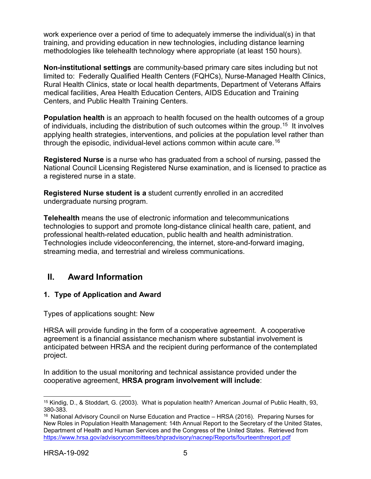work experience over a period of time to adequately immerse the individual(s) in that training, and providing education in new technologies, including distance learning methodologies like telehealth technology where appropriate (at least 150 hours).

**Non-institutional settings** are community-based primary care sites including but not limited to: Federally Qualified Health Centers (FQHCs), Nurse-Managed Health Clinics, Rural Health Clinics, state or local health departments, Department of Veterans Affairs medical facilities, Area Health Education Centers, AIDS Education and Training Centers, and Public Health Training Centers.

**Population health** is an approach to health focused on the health outcomes of a group of individuals, including the distribution of such outcomes within the group.<sup>[15](#page-8-2)</sup> It involves applying health strategies, interventions, and policies at the population level rather than through the episodic, individual-level actions common within acute care. [16](#page-8-3)

**Registered Nurse** is a nurse who has graduated from a school of nursing, passed the National Council Licensing Registered Nurse examination, and is licensed to practice as a registered nurse in a state.

**Registered Nurse student is a** student currently enrolled in an accredited undergraduate nursing program.

**Telehealth** means the use of electronic information and telecommunications technologies to support and promote long-distance clinical health care, patient, and professional health-related education, public health and health administration. Technologies include videoconferencing, the internet, store-and-forward imaging, streaming media, and terrestrial and wireless communications.

## <span id="page-8-0"></span>**II. Award Information**

#### <span id="page-8-1"></span>**1. Type of Application and Award**

Types of applications sought: New

HRSA will provide funding in the form of a cooperative agreement. A cooperative agreement is a financial assistance mechanism where substantial involvement is anticipated between HRSA and the recipient during performance of the contemplated project.

In addition to the usual monitoring and technical assistance provided under the cooperative agreement, **HRSA program involvement will include**:

<span id="page-8-2"></span> $\overline{a}$ <sup>15</sup> Kindig, D., & Stoddart, G. (2003). What is population health? American Journal of Public Health, 93, 380-383.

<span id="page-8-3"></span><sup>&</sup>lt;sup>16</sup> National Advisory Council on Nurse Education and Practice – HRSA (2016). Preparing Nurses for New Roles in Population Health Management: 14th Annual Report to the Secretary of the United States, Department of Health and Human Services and the Congress of the United States. Retrieved from <https://www.hrsa.gov/advisorycommittees/bhpradvisory/nacnep/Reports/fourteenthreport.pdf>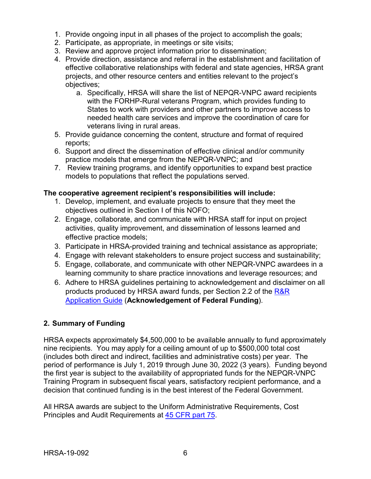- 1. Provide ongoing input in all phases of the project to accomplish the goals;
- 2. Participate, as appropriate, in meetings or site visits;
- 3. Review and approve project information prior to dissemination;
- 4. Provide direction, assistance and referral in the establishment and facilitation of effective collaborative relationships with federal and state agencies, HRSA grant projects, and other resource centers and entities relevant to the project's objectives;
	- a. Specifically, HRSA will share the list of NEPQR-VNPC award recipients with the FORHP-Rural veterans Program, which provides funding to States to work with providers and other partners to improve access to needed health care services and improve the coordination of care for veterans living in rural areas.
- 5. Provide guidance concerning the content, structure and format of required reports;
- 6. Support and direct the dissemination of effective clinical and/or community practice models that emerge from the NEPQR-VNPC; and
- 7. Review training programs, and identify opportunities to expand best practice models to populations that reflect the populations served.

#### **The cooperative agreement recipient's responsibilities will include:**

- 1. Develop, implement, and evaluate projects to ensure that they meet the objectives outlined in Section I of this NOFO;
- 2. Engage, collaborate, and communicate with HRSA staff for input on project activities, quality improvement, and dissemination of lessons learned and effective practice models;
- 3. Participate in HRSA-provided training and technical assistance as appropriate;
- 4. Engage with relevant stakeholders to ensure project success and sustainability;
- 5. Engage, collaborate, and communicate with other NEPQR-VNPC awardees in a learning community to share practice innovations and leverage resources; and
- 6. Adhere to HRSA guidelines pertaining to acknowledgement and disclaimer on all products produced by HRSA award funds, per Section 2.2 of the R&R [Application Guide](https://www.hrsa.gov/grants/apply/applicationguide/sf424rrguidev2.pdf) (**Acknowledgement of Federal Funding**).

#### <span id="page-9-0"></span>**2. Summary of Funding**

HRSA expects approximately \$4,500,000 to be available annually to fund approximately nine recipients. You may apply for a ceiling amount of up to \$500,000 total cost (includes both direct and indirect, facilities and administrative costs) per year. The period of performance is July 1, 2019 through June 30, 2022 (3 years). Funding beyond the first year is subject to the availability of appropriated funds for the NEPQR-VNPC Training Program in subsequent fiscal years, satisfactory recipient performance, and a decision that continued funding is in the best interest of the Federal Government.

All HRSA awards are subject to the Uniform Administrative Requirements, Cost Principles and Audit Requirements at [45 CFR part 75.](http://www.ecfr.gov/cgi-bin/retrieveECFR?gp=1&SID=4d52364ec83fab994c665943dadf9cf7&ty=HTML&h=L&r=PART&n=pt45.1.75)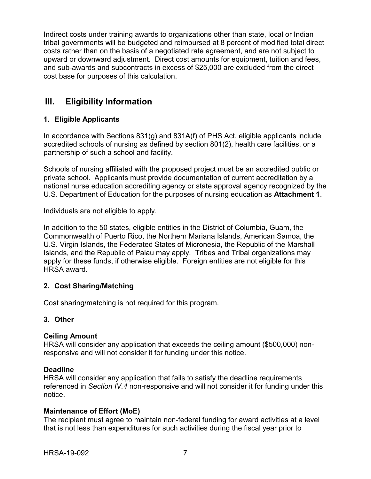Indirect costs under training awards to organizations other than state, local or Indian tribal governments will be budgeted and reimbursed at 8 percent of modified total direct costs rather than on the basis of a negotiated rate agreement, and are not subject to upward or downward adjustment. Direct cost amounts for equipment, tuition and fees, and sub-awards and subcontracts in excess of \$25,000 are excluded from the direct cost base for purposes of this calculation.

# <span id="page-10-1"></span>**III. Eligibility Information**

## <span id="page-10-2"></span><span id="page-10-0"></span>**1. Eligible Applicants**

In accordance with Sections 831(g) and 831A(f) of PHS Act, eligible applicants include accredited schools of nursing as defined by section 801(2), health care facilities, or a partnership of such a school and facility.

Schools of nursing affiliated with the proposed project must be an accredited public or private school. Applicants must provide documentation of current accreditation by a national nurse education accrediting agency or state approval agency recognized by the U.S. Department of Education for the purposes of nursing education as **Attachment 1**.

Individuals are not eligible to apply.

In addition to the 50 states, eligible entities in the District of Columbia, Guam, the Commonwealth of Puerto Rico, the Northern Mariana Islands, American Samoa, the U.S. Virgin Islands, the Federated States of Micronesia, the Republic of the Marshall Islands, and the Republic of Palau may apply. Tribes and Tribal organizations may apply for these funds, if otherwise eligible. Foreign entities are not eligible for this HRSA award.

## <span id="page-10-3"></span>**2. Cost Sharing/Matching**

Cost sharing/matching is not required for this program.

#### <span id="page-10-4"></span>**3. Other**

## **Ceiling Amount**

HRSA will consider any application that exceeds the ceiling amount (\$500,000) nonresponsive and will not consider it for funding under this notice.

#### **Deadline**

HRSA will consider any application that fails to satisfy the deadline requirements referenced in *Section IV.4* non-responsive and will not consider it for funding under this notice.

## **Maintenance of Effort (MoE)**

The recipient must agree to maintain non-federal funding for award activities at a level that is not less than expenditures for such activities during the fiscal year prior to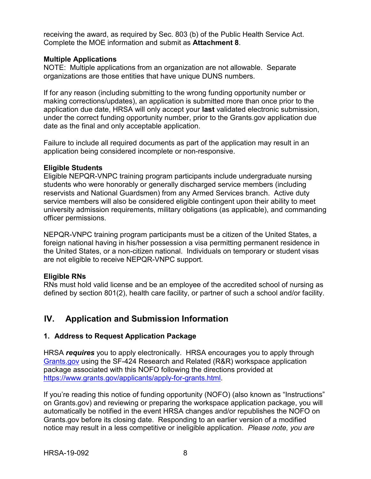receiving the award, as required by Sec. 803 (b) of the Public Health Service Act. Complete the MOE information and submit as **Attachment 8**.

#### **Multiple Applications**

NOTE: Multiple applications from an organization are not allowable. Separate organizations are those entities that have unique DUNS numbers.

If for any reason (including submitting to the wrong funding opportunity number or making corrections/updates), an application is submitted more than once prior to the application due date, HRSA will only accept your **last** validated electronic submission, under the correct funding opportunity number, prior to the Grants.gov application due date as the final and only acceptable application.

Failure to include all required documents as part of the application may result in an application being considered incomplete or non-responsive.

#### **Eligible Students**

Eligible NEPQR-VNPC training program participants include undergraduate nursing students who were honorably or generally discharged service members (including reservists and National Guardsmen) from any Armed Services branch. Active duty service members will also be considered eligible contingent upon their ability to meet university admission requirements, military obligations (as applicable), and commanding officer permissions.

NEPQR-VNPC training program participants must be a citizen of the United States, a foreign national having in his/her possession a visa permitting permanent residence in the United States, or a non-citizen national. Individuals on temporary or student visas are not eligible to receive NEPQR-VNPC support*.*

#### **Eligible RNs**

RNs must hold valid license and be an employee of the accredited school of nursing as defined by section 801(2), health care facility, or partner of such a school and/or facility.

# <span id="page-11-0"></span>**IV. Application and Submission Information**

#### <span id="page-11-1"></span>**1. Address to Request Application Package**

HRSA *requires* you to apply electronically. HRSA encourages you to apply through [Grants.gov](https://www.grants.gov/) using the SF-424 Research and Related (R&R) workspace application package associated with this NOFO following the directions provided at [https://www.grants.gov/applicants/apply-for-grants.html.](https://www.grants.gov/applicants/apply-for-grants.html)

If you're reading this notice of funding opportunity (NOFO) (also known as "Instructions" on Grants.gov) and reviewing or preparing the workspace application package, you will automatically be notified in the event HRSA changes and/or republishes the NOFO on Grants.gov before its closing date. Responding to an earlier version of a modified notice may result in a less competitive or ineligible application. *Please note, you are*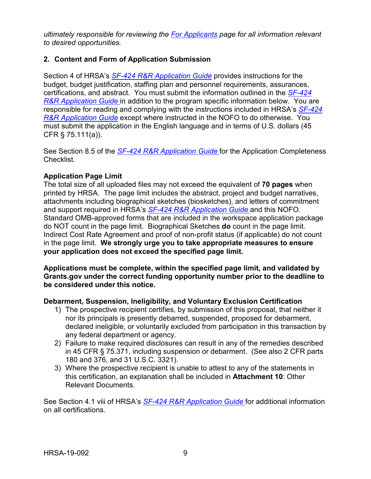*ultimately responsible for reviewing the [For Applicants](https://www.grants.gov/web/grants/applicants.html) page for all information relevant to desired opportunities.*

#### <span id="page-12-0"></span>**2. Content and Form of Application Submission**

Section 4 of HRSA's *SF-424 R&R [Application Guide](http://www.hrsa.gov/grants/apply/applicationguide/sf424rrguidev2.pdf)* provides instructions for the budget, budget justification, staffing plan and personnel requirements, assurances, certifications, and abstract. You must submit the information outlined in the *[SF-424](http://www.hrsa.gov/grants/apply/applicationguide/sf424rrguidev2.pdf) R&R [Application Guide](http://www.hrsa.gov/grants/apply/applicationguide/sf424rrguidev2.pdf)* in addition to the program specific information below. You are responsible for reading and complying with the instructions included in HRSA's *[SF-424](http://www.hrsa.gov/grants/apply/applicationguide/sf424rrguidev2.pdf) R&R [Application Guide](http://www.hrsa.gov/grants/apply/applicationguide/sf424rrguidev2.pdf)* except where instructed in the NOFO to do otherwise. You must submit the application in the English language and in terms of U.S. dollars (45 CFR § 75.111(a)).

See Section 8.5 of the *SF-424 R&R [Application Guide](http://www.hrsa.gov/grants/apply/applicationguide/sf424rrguidev2.pdf)* for the Application Completeness Checklist.

## **Application Page Limit**

The total size of all uploaded files may not exceed the equivalent of **70 pages** when printed by HRSA. The page limit includes the abstract, project and budget narratives, attachments including biographical sketches (biosketches), and letters of commitment and support required in HRSA's *SF-424 R&R [Application Guide](http://www.hrsa.gov/grants/apply/applicationguide/sf424rrguidev2.pdf)* and this NOFO. Standard OMB-approved forms that are included in the workspace application package do NOT count in the page limit. Biographical Sketches **do** count in the page limit. Indirect Cost Rate Agreement and proof of non-profit status (if applicable) do not count in the page limit. **We strongly urge you to take appropriate measures to ensure your application does not exceed the specified page limit.**

**Applications must be complete, within the specified page limit, and validated by Grants.gov under the correct funding opportunity number prior to the deadline to be considered under this notice.**

#### **Debarment, Suspension, Ineligibility, and Voluntary Exclusion Certification**

- 1) The prospective recipient certifies, by submission of this proposal, that neither it nor its principals is presently debarred, suspended, proposed for debarment, declared ineligible, or voluntarily excluded from participation in this transaction by any federal department or agency.
- 2) Failure to make required disclosures can result in any of the remedies described in 45 CFR § 75.371, including suspension or debarment. (See also 2 CFR parts 180 and 376, and 31 U.S.C. 3321).
- 3) Where the prospective recipient is unable to attest to any of the statements in this certification, an explanation shall be included in **Attachment 10**: Other Relevant Documents.

See Section 4.1 viii of HRSA's *SF-424 R&R [Application Guide](http://www.hrsa.gov/grants/apply/applicationguide/sf424rrguidev2.pdf)* for additional information on all certifications.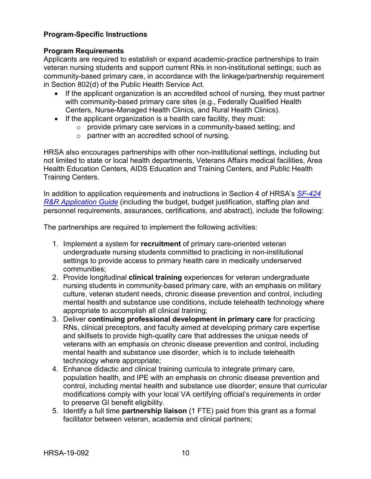### **Program-Specific Instructions**

#### **Program Requirements**

Applicants are required to establish or expand academic-practice partnerships to train veteran nursing students and support current RNs in non-institutional settings; such as community-based primary care, in accordance with the linkage/partnership requirement in Section 802(d) of the Public Health Service Act.

- If the applicant organization is an accredited school of nursing, they must partner with community-based primary care sites (e.g., Federally Qualified Health Centers, Nurse-Managed Health Clinics, and Rural Health Clinics).
- If the applicant organization is a health care facility, they must:
	- o provide primary care services in a community-based setting; and
	- o partner with an accredited school of nursing.

HRSA also encourages partnerships with other non-institutional settings, including but not limited to state or local health departments, Veterans Affairs medical facilities, Area Health Education Centers, AIDS Education and Training Centers, and Public Health Training Centers.

In addition to application requirements and instructions in Section 4 of HRSA's *[SF-424](http://www.hrsa.gov/grants/apply/applicationguide/sf424rrguidev2.pdf) R&R [Application Guide](http://www.hrsa.gov/grants/apply/applicationguide/sf424rrguidev2.pdf)* (including the budget, budget justification, staffing plan and personnel requirements, assurances, certifications, and abstract), include the following:

The partnerships are required to implement the following activities:

- 1. Implement a system for **recruitment** of primary care-oriented veteran undergraduate nursing students committed to practicing in non-institutional settings to provide access to primary health care in medically underserved communities;
- 2. Provide longitudinal **clinical training** experiences for veteran undergraduate nursing students in community-based primary care, with an emphasis on military culture, veteran student needs, chronic disease prevention and control, including mental health and substance use conditions, include telehealth technology where appropriate to accomplish all clinical training;
- 3. Deliver **continuing professional development in primary care** for practicing RNs, clinical preceptors, and faculty aimed at developing primary care expertise and skillsets to provide high-quality care that addresses the unique needs of veterans with an emphasis on chronic disease prevention and control, including mental health and substance use disorder, which is to include telehealth technology where appropriate;
- 4. Enhance didactic and clinical training curricula to integrate primary care, population health, and IPE with an emphasis on chronic disease prevention and control, including mental health and substance use disorder; ensure that curricular modifications comply with your local VA certifying official's requirements in order to preserve GI benefit eligibility.
- 5. Identify a full time **partnership liaison** (1 FTE) paid from this grant as a formal facilitator between veteran, academia and clinical partners;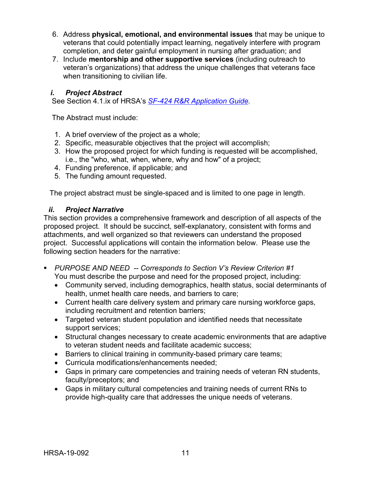- 6. Address **physical, emotional, and environmental issues** that may be unique to veterans that could potentially impact learning, negatively interfere with program completion, and deter gainful employment in nursing after graduation; and
- 7. Include **mentorship and other supportive services** (including outreach to veteran's organizations) that address the unique challenges that veterans face when transitioning to civilian life.

#### <span id="page-14-0"></span>*i. Project Abstract*

See Section 4.1.ix of HRSA's *SF-424 R&R [Application Guide.](http://www.hrsa.gov/grants/apply/applicationguide/sf424rrguidev2.pdf)*

The Abstract must include:

- 1. A brief overview of the project as a whole;
- 2. Specific, measurable objectives that the project will accomplish;
- 3. How the proposed project for which funding is requested will be accomplished, i.e., the "who, what, when, where, why and how" of a project;
- 4. Funding preference, if applicable; and
- 5. The funding amount requested.

The project abstract must be single-spaced and is limited to one page in length.

#### <span id="page-14-1"></span>*ii. Project Narrative*

This section provides a comprehensive framework and description of all aspects of the proposed project. It should be succinct, self-explanatory, consistent with forms and attachments, and well organized so that reviewers can understand the proposed project. Successful applications will contain the information below. Please use the following section headers for the narrative:

- *PURPOSE AND NEED -- Corresponds to Section V's Review Criterion #1* You must describe the purpose and need for the proposed project, including:
	- Community served, including demographics, health status, social determinants of health, unmet health care needs, and barriers to care;
	- Current health care delivery system and primary care nursing workforce gaps, including recruitment and retention barriers;
	- Targeted veteran student population and identified needs that necessitate support services;
	- Structural changes necessary to create academic environments that are adaptive to veteran student needs and facilitate academic success;
	- Barriers to clinical training in community-based primary care teams;
	- Curricula modifications/enhancements needed;
	- Gaps in primary care competencies and training needs of veteran RN students, faculty/preceptors; and
	- Gaps in military cultural competencies and training needs of current RNs to provide high-quality care that addresses the unique needs of veterans.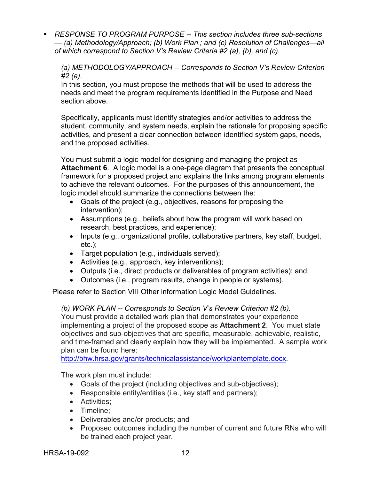*RESPONSE TO PROGRAM PURPOSE -- This section includes three sub-sections — (a) Methodology/Approach; (b) Work Plan ; and (c) Resolution of Challenges—all of which correspond to Section V's Review Criteria #2 (a), (b), and (c).*

*(a) METHODOLOGY/APPROACH -- Corresponds to Section V's Review Criterion #2 (a).*

In this section, you must propose the methods that will be used to address the needs and meet the program requirements identified in the Purpose and Need section above.

Specifically, applicants must identify strategies and/or activities to address the student, community, and system needs, explain the rationale for proposing specific activities, and present a clear connection between identified system gaps, needs, and the proposed activities.

You must submit a logic model for designing and managing the project as **Attachment 6**. A logic model is a one-page diagram that presents the conceptual framework for a proposed project and explains the links among program elements to achieve the relevant outcomes. For the purposes of this announcement, the logic model should summarize the connections between the:

- Goals of the project (e.g., objectives, reasons for proposing the intervention);
- Assumptions (e.g., beliefs about how the program will work based on research, best practices, and experience);
- Inputs (e.g., organizational profile, collaborative partners, key staff, budget, etc.);
- Target population (e.g., individuals served);
- Activities (e.g., approach, key interventions);
- Outputs (i.e., direct products or deliverables of program activities); and
- Outcomes (i.e., program results, change in people or systems).

Please refer to Section VIII Other information Logic Model Guidelines.

*(b) WORK PLAN -- Corresponds to Section V's Review Criterion #2 (b).* 

You must provide a detailed work plan that demonstrates your experience implementing a project of the proposed scope as **Attachment 2**. You must state objectives and sub-objectives that are specific, measurable, achievable, realistic, and time-framed and clearly explain how they will be implemented. A sample work plan can be found here:

[http://bhw.hrsa.gov/grants/technicalassistance/workplantemplate.docx.](http://bhw.hrsa.gov/grants/technicalassistance/workplantemplate.docx)

The work plan must include:

- Goals of the project (including objectives and sub-objectives);
- Responsible entity/entities (i.e., key staff and partners);
- Activities;
- Timeline;
- Deliverables and/or products; and
- Proposed outcomes including the number of current and future RNs who will be trained each project year.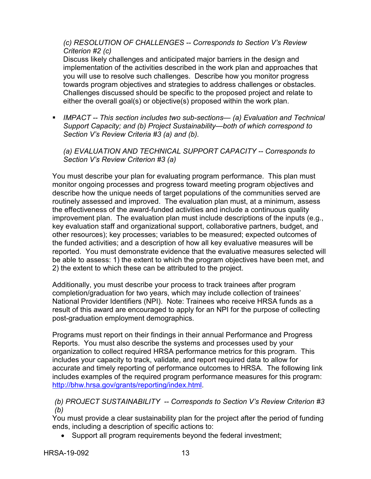*(c) RESOLUTION OF CHALLENGES -- Corresponds to Section V's Review Criterion #2 (c)* 

Discuss likely challenges and anticipated major barriers in the design and implementation of the activities described in the work plan and approaches that you will use to resolve such challenges. Describe how you monitor progress towards program objectives and strategies to address challenges or obstacles. Challenges discussed should be specific to the proposed project and relate to either the overall goal(s) or objective(s) proposed within the work plan.

 *IMPACT -- This section includes two sub-sections— (a) Evaluation and Technical Support Capacity; and (b) Project Sustainability—both of which correspond to Section V's Review Criteria #3 (a) and (b).*

*(a) EVALUATION AND TECHNICAL SUPPORT CAPACITY -- Corresponds to Section V's Review Criterion #3 (a)*

You must describe your plan for evaluating program performance. This plan must monitor ongoing processes and progress toward meeting program objectives and describe how the unique needs of target populations of the communities served are routinely assessed and improved. The evaluation plan must, at a minimum, assess the effectiveness of the award-funded activities and include a continuous quality improvement plan. The evaluation plan must include descriptions of the inputs (e.g., key evaluation staff and organizational support, collaborative partners, budget, and other resources); key processes; variables to be measured; expected outcomes of the funded activities; and a description of how all key evaluative measures will be reported. You must demonstrate evidence that the evaluative measures selected will be able to assess: 1) the extent to which the program objectives have been met, and 2) the extent to which these can be attributed to the project.

Additionally, you must describe your process to track trainees after program completion/graduation for two years, which may include collection of trainees' National Provider Identifiers (NPI). Note: Trainees who receive HRSA funds as a result of this award are encouraged to apply for an NPI for the purpose of collecting post-graduation employment demographics.

Programs must report on their findings in their annual Performance and Progress Reports. You must also describe the systems and processes used by your organization to collect required HRSA performance metrics for this program. This includes your capacity to track, validate, and report required data to allow for accurate and timely reporting of performance outcomes to HRSA. The following link includes examples of the required program performance measures for this program: [http://bhw.hrsa.gov/grants/reporting/index.html.](http://bhw.hrsa.gov/grants/reporting/index.html)

#### *(b) PROJECT SUSTAINABILITY -- Corresponds to Section V's Review Criterion #3 (b)*

You must provide a clear sustainability plan for the project after the period of funding ends, including a description of specific actions to:

• Support all program requirements beyond the federal investment;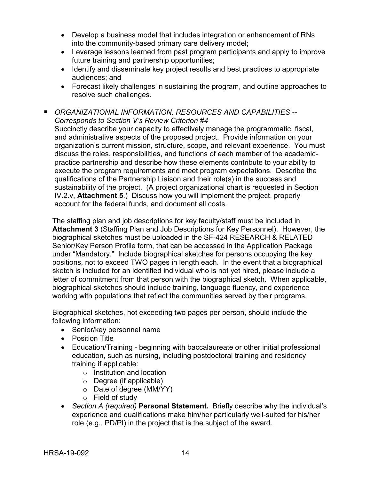- Develop a business model that includes integration or enhancement of RNs into the community-based primary care delivery model;
- Leverage lessons learned from past program participants and apply to improve future training and partnership opportunities;
- Identify and disseminate key project results and best practices to appropriate audiences; and
- Forecast likely challenges in sustaining the program, and outline approaches to resolve such challenges.
- *ORGANIZATIONAL INFORMATION, RESOURCES AND CAPABILITIES -- Corresponds to Section V's Review Criterion #4*

Succinctly describe your capacity to effectively manage the programmatic, fiscal, and administrative aspects of the proposed project. Provide information on your organization's current mission, structure, scope, and relevant experience. You must discuss the roles, responsibilities, and functions of each member of the academicpractice partnership and describe how these elements contribute to your ability to execute the program requirements and meet program expectations. Describe the qualifications of the Partnership Liaison and their role(s) in the success and sustainability of the project. (A project organizational chart is requested in Section IV.2.v, **Attachment 5**.) Discuss how you will implement the project, properly account for the federal funds, and document all costs.

The staffing plan and job descriptions for key faculty/staff must be included in **Attachment 3** (Staffing Plan and Job Descriptions for Key Personnel). However, the biographical sketches must be uploaded in the SF-424 RESEARCH & RELATED Senior/Key Person Profile form, that can be accessed in the Application Package under "Mandatory." Include biographical sketches for persons occupying the key positions, not to exceed TWO pages in length each. In the event that a biographical sketch is included for an identified individual who is not yet hired, please include a letter of commitment from that person with the biographical sketch. When applicable, biographical sketches should include training, language fluency, and experience working with populations that reflect the communities served by their programs.

Biographical sketches, not exceeding two pages per person, should include the following information:

- Senior/key personnel name
- Position Title
- Education/Training beginning with baccalaureate or other initial professional education, such as nursing, including postdoctoral training and residency training if applicable:
	- o Institution and location
	- o Degree (if applicable)
	- o Date of degree (MM/YY)
	- o Field of study
- *Section A (required)* **Personal Statement.** Briefly describe why the individual's experience and qualifications make him/her particularly well-suited for his/her role (e.g., PD/PI) in the project that is the subject of the award.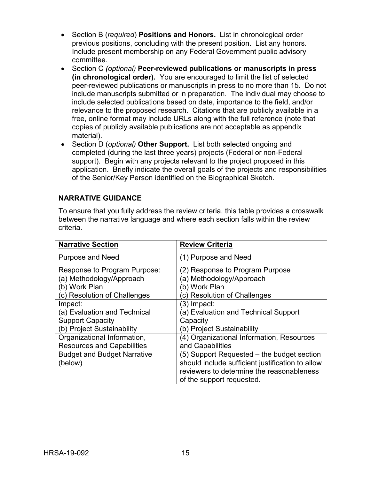- Section B (*required*) **Positions and Honors.** List in chronological order previous positions, concluding with the present position. List any honors. Include present membership on any Federal Government public advisory committee.
- Section C *(optional)* **Peer-reviewed publications or manuscripts in press (in chronological order).** You are encouraged to limit the list of selected peer-reviewed publications or manuscripts in press to no more than 15. Do not include manuscripts submitted or in preparation. The individual may choose to include selected publications based on date, importance to the field, and/or relevance to the proposed research. Citations that are publicly available in a free, online format may include URLs along with the full reference (note that copies of publicly available publications are not acceptable as appendix material).
- Section D (*optional)* **Other Support.** List both selected ongoing and completed (during the last three years) projects (Federal or non-Federal support). Begin with any projects relevant to the project proposed in this application. Briefly indicate the overall goals of the projects and responsibilities of the Senior/Key Person identified on the Biographical Sketch.

#### **NARRATIVE GUIDANCE**

To ensure that you fully address the review criteria, this table provides a crosswalk between the narrative language and where each section falls within the review criteria.

| <b>Narrative Section</b>           | <b>Review Criteria</b>                           |
|------------------------------------|--------------------------------------------------|
| <b>Purpose and Need</b>            | (1) Purpose and Need                             |
| Response to Program Purpose:       | (2) Response to Program Purpose                  |
| (a) Methodology/Approach           | (a) Methodology/Approach                         |
| (b) Work Plan                      | (b) Work Plan                                    |
| (c) Resolution of Challenges       | (c) Resolution of Challenges                     |
| Impact:                            | (3) Impact:                                      |
| (a) Evaluation and Technical       | (a) Evaluation and Technical Support             |
| <b>Support Capacity</b>            | Capacity                                         |
| (b) Project Sustainability         | (b) Project Sustainability                       |
| Organizational Information,        | (4) Organizational Information, Resources        |
| <b>Resources and Capabilities</b>  | and Capabilities                                 |
| <b>Budget and Budget Narrative</b> | (5) Support Requested – the budget section       |
| (below)                            | should include sufficient justification to allow |
|                                    | reviewers to determine the reasonableness        |
|                                    | of the support requested.                        |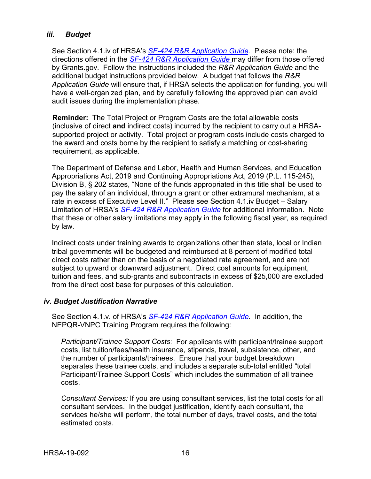#### <span id="page-19-0"></span>*iii. Budget*

See Section 4.1.iv of HRSA's *SF-424 R&R [Application Guide.](http://www.hrsa.gov/grants/apply/applicationguide/sf424rrguidev2.pdf)* Please note: the directions offered in the *SF-424 R&R [Application Guide](http://www.hrsa.gov/grants/apply/applicationguide/sf424rrguidev2.pdf)* may differ from those offered by Grants.gov. Follow the instructions included the *R&R Application Guide* and the additional budget instructions provided below. A budget that follows the *R&R Application Guide* will ensure that, if HRSA selects the application for funding, you will have a well-organized plan, and by carefully following the approved plan can avoid audit issues during the implementation phase.

**Reminder:** The Total Project or Program Costs are the total allowable costs (inclusive of direct **and** indirect costs) incurred by the recipient to carry out a HRSAsupported project or activity. Total project or program costs include costs charged to the award and costs borne by the recipient to satisfy a matching or cost-sharing requirement, as applicable.

The Department of Defense and Labor, Health and Human Services, and Education Appropriations Act, 2019 and Continuing Appropriations Act, 2019 (P.L. 115-245), Division B, § 202 states, "None of the funds appropriated in this title shall be used to pay the salary of an individual, through a grant or other extramural mechanism, at a rate in excess of Executive Level II." Please see Section 4.1.iv Budget – Salary Limitation of HRSA's *SF-424 R&R [Application Guide](http://www.hrsa.gov/grants/apply/applicationguide/sf424rrguidev2.pdf)* for additional information. Note that these or other salary limitations may apply in the following fiscal year, as required by law.

Indirect costs under training awards to organizations other than state, local or Indian tribal governments will be budgeted and reimbursed at 8 percent of modified total direct costs rather than on the basis of a negotiated rate agreement, and are not subject to upward or downward adjustment. Direct cost amounts for equipment, tuition and fees, and sub-grants and subcontracts in excess of \$25,000 are excluded from the direct cost base for purposes of this calculation.

#### <span id="page-19-1"></span>*iv. Budget Justification Narrative*

See Section 4.1.v. of HRSA's *SF-424 R&R [Application Guide.](http://www.hrsa.gov/grants/apply/applicationguide/sf424rrguidev2.pdf)* In addition, the NEPQR-VNPC Training Program requires the following:

*Participant/Trainee Support Costs*: For applicants with participant/trainee support costs, list tuition/fees/health insurance, stipends, travel, subsistence, other, and the number of participants/trainees. Ensure that your budget breakdown separates these trainee costs, and includes a separate sub-total entitled "total Participant/Trainee Support Costs" which includes the summation of all trainee costs.

*Consultant Services:* If you are using consultant services, list the total costs for all consultant services. In the budget justification, identify each consultant, the services he/she will perform, the total number of days, travel costs, and the total estimated costs.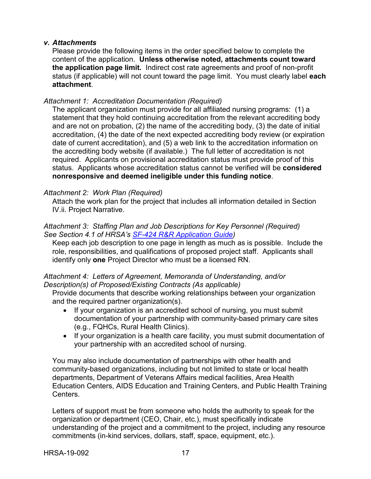#### <span id="page-20-0"></span>*v. Attachments*

Please provide the following items in the order specified below to complete the content of the application. **Unless otherwise noted, attachments count toward the application page limit.** Indirect cost rate agreements and proof of non-profit status (if applicable) will not count toward the page limit. You must clearly label **each attachment**.

#### *Attachment 1: Accreditation Documentation (Required)*

The applicant organization must provide for all affiliated nursing programs: (1) a statement that they hold continuing accreditation from the relevant accrediting body and are not on probation, (2) the name of the accrediting body, (3) the date of initial accreditation, (4) the date of the next expected accrediting body review (or expiration date of current accreditation), and (5) a web link to the accreditation information on the accrediting body website (if available.) The full letter of accreditation is not required. Applicants on provisional accreditation status must provide proof of this status. Applicants whose accreditation status cannot be verified will be **considered nonresponsive and deemed ineligible under this funding notice**.

#### *Attachment 2: Work Plan (Required)*

Attach the work plan for the project that includes all information detailed in Section IV.ii. Project Narrative.

#### *Attachment 3: Staffing Plan and Job Descriptions for Key Personnel (Required) See Section 4.1 of HRSA's [SF-424 R&R Application Guide\)](http://www.hrsa.gov/grants/apply/applicationguide/sf424rrguidev2.pdf)*

Keep each job description to one page in length as much as is possible. Include the role, responsibilities, and qualifications of proposed project staff. Applicants shall identify only **one** Project Director who must be a licensed RN.

#### *Attachment 4: Letters of Agreement, Memoranda of Understanding, and/or Description(s) of Proposed/Existing Contracts (As applicable)*

Provide documents that describe working relationships between your organization and the required partner organization(s).

- If your organization is an accredited school of nursing, you must submit documentation of your partnership with community-based primary care sites (e.g., FQHCs, Rural Health Clinics).
- If your organization is a health care facility, you must submit documentation of your partnership with an accredited school of nursing.

You may also include documentation of partnerships with other health and community-based organizations, including but not limited to state or local health departments, Department of Veterans Affairs medical facilities, Area Health Education Centers, AIDS Education and Training Centers, and Public Health Training Centers.

Letters of support must be from someone who holds the authority to speak for the organization or department (CEO, Chair, etc.), must specifically indicate understanding of the project and a commitment to the project, including any resource commitments (in-kind services, dollars, staff, space, equipment, etc.).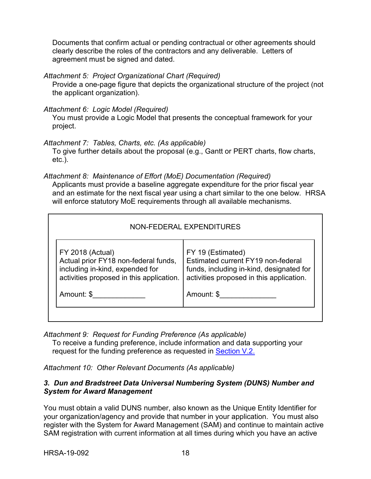Documents that confirm actual or pending contractual or other agreements should clearly describe the roles of the contractors and any deliverable. Letters of agreement must be signed and dated.

*Attachment 5: Project Organizational Chart (Required)*

Provide a one-page figure that depicts the organizational structure of the project (not the applicant organization).

*Attachment 6: Logic Model (Required)*

You must provide a Logic Model that presents the conceptual framework for your project.

*Attachment 7: Tables, Charts, etc. (As applicable)*

To give further details about the proposal (e.g., Gantt or PERT charts, flow charts, etc.).

*Attachment 8: Maintenance of Effort (MoE) Documentation (Required)*

Applicants must provide a baseline aggregate expenditure for the prior fiscal year and an estimate for the next fiscal year using a chart similar to the one below. HRSA will enforce statutory MoE requirements through all available mechanisms.

| <b>FY 2018 (Actual)</b><br>FY 19 (Estimated)                                                                                                                                                                                                      |  |
|---------------------------------------------------------------------------------------------------------------------------------------------------------------------------------------------------------------------------------------------------|--|
| Estimated current FY19 non-federal<br>Actual prior FY18 non-federal funds,<br>including in-kind, expended for<br>funds, including in-kind, designated for<br>activities proposed in this application.<br>activities proposed in this application. |  |
| Amount: \$<br>Amount: \$                                                                                                                                                                                                                          |  |

*Attachment 9: Request for Funding Preference (As applicable)*

To receive a funding preference, include information and data supporting your request for the funding preference as requested in Section V.2.

*Attachment 10: Other Relevant Documents (As applicable)*

#### <span id="page-21-0"></span>*3. Dun and Bradstreet Data Universal Numbering System (DUNS) Number and System for Award Management*

You must obtain a valid DUNS number, also known as the Unique Entity Identifier for your organization/agency and provide that number in your application. You must also register with the System for Award Management (SAM) and continue to maintain active SAM registration with current information at all times during which you have an active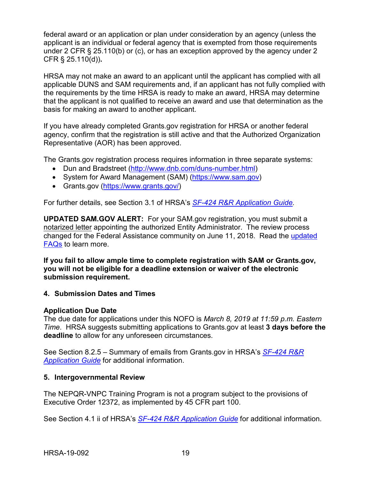federal award or an application or plan under consideration by an agency (unless the applicant is an individual or federal agency that is exempted from those requirements under 2 CFR § 25.110(b) or (c), or has an exception approved by the agency under 2 CFR § 25.110(d))**.**

HRSA may not make an award to an applicant until the applicant has complied with all applicable DUNS and SAM requirements and, if an applicant has not fully complied with the requirements by the time HRSA is ready to make an award, HRSA may determine that the applicant is not qualified to receive an award and use that determination as the basis for making an award to another applicant.

If you have already completed Grants.gov registration for HRSA or another federal agency, confirm that the registration is still active and that the Authorized Organization Representative (AOR) has been approved.

The Grants.gov registration process requires information in three separate systems:

- Dun and Bradstreet [\(http://www.dnb.com/duns-number.html\)](http://www.dnb.com/duns-number.html)
- System for Award Management (SAM) [\(https://www.sam.gov\)](https://www.sam.gov/)
- Grants.gov [\(https://www.grants.gov/\)](https://www.grants.gov/)

For further details, see Section 3.1 of HRSA's *SF-424 R&R [Application Guide.](http://www.hrsa.gov/grants/apply/applicationguide/sf424rrguidev2.pdf)*

**UPDATED SAM.GOV ALERT:** For your SAM.gov registration, you must submit a notarized letter appointing the authorized Entity Administrator. The review process changed for the Federal Assistance community on June 11, 2018. Read the [updated](https://www.gsa.gov/about-us/organization/federal-acquisition-service/office-of-systems-management/integrated-award-environment-iae/sam-update)  [FAQs](https://www.gsa.gov/about-us/organization/federal-acquisition-service/office-of-systems-management/integrated-award-environment-iae/sam-update) to learn more.

**If you fail to allow ample time to complete registration with SAM or Grants.gov, you will not be eligible for a deadline extension or waiver of the electronic submission requirement.**

#### <span id="page-22-0"></span>**4. Submission Dates and Times**

#### **Application Due Date**

The due date for applications under this NOFO is *March 8, 2019 at 11:59 p.m. Eastern Time*. HRSA suggests submitting applications to Grants.gov at least **3 days before the deadline** to allow for any unforeseen circumstances.

See Section 8.2.5 – Summary of emails from Grants.gov in HRSA's *[SF-424](http://www.hrsa.gov/grants/apply/applicationguide/sf424rrguidev2.pdf) R&R [Application Guide](http://www.hrsa.gov/grants/apply/applicationguide/sf424rrguidev2.pdf)* for additional information.

#### <span id="page-22-1"></span>**5. Intergovernmental Review**

The NEPQR-VNPC Training Program is not a program subject to the provisions of Executive Order 12372, as implemented by 45 CFR part 100.

See Section 4.1 ii of HRSA's *SF-424 R&R [Application Guide](http://www.hrsa.gov/grants/apply/applicationguide/sf424rrguidev2.pdf)* for additional information.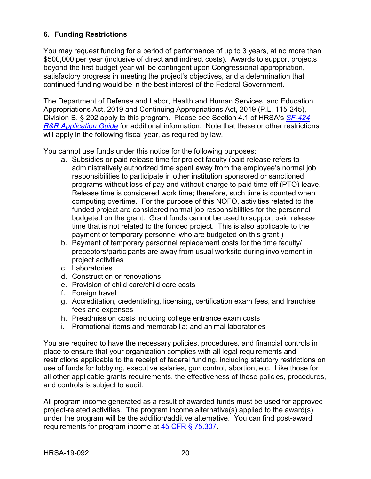## <span id="page-23-0"></span>**6. Funding Restrictions**

You may request funding for a period of performance of up to 3 years, at no more than \$500,000 per year (inclusive of direct **and** indirect costs). Awards to support projects beyond the first budget year will be contingent upon Congressional appropriation, satisfactory progress in meeting the project's objectives, and a determination that continued funding would be in the best interest of the Federal Government.

The Department of Defense and Labor, Health and Human Services, and Education Appropriations Act, 2019 and Continuing Appropriations Act, 2019 (P.L. 115-245), Division B, § 202 apply to this program. Please see Section 4.1 of HRSA's *[SF-424](http://www.hrsa.gov/grants/apply/applicationguide/sf424rrguidev2.pdf) R&R [Application Guide](http://www.hrsa.gov/grants/apply/applicationguide/sf424rrguidev2.pdf)* for additional information. Note that these or other restrictions will apply in the following fiscal year, as required by law.

You cannot use funds under this notice for the following purposes:

- a. Subsidies or paid release time for project faculty (paid release refers to administratively authorized time spent away from the employee's normal job responsibilities to participate in other institution sponsored or sanctioned programs without loss of pay and without charge to paid time off (PTO) leave. Release time is considered work time; therefore, such time is counted when computing overtime. For the purpose of this NOFO, activities related to the funded project are considered normal job responsibilities for the personnel budgeted on the grant. Grant funds cannot be used to support paid release time that is not related to the funded project. This is also applicable to the payment of temporary personnel who are budgeted on this grant.)
- b. Payment of temporary personnel replacement costs for the time faculty/ preceptors/participants are away from usual worksite during involvement in project activities
- c. Laboratories
- d. Construction or renovations
- e. Provision of child care/child care costs
- f. Foreign travel
- g. Accreditation, credentialing, licensing, certification exam fees, and franchise fees and expenses
- h. Preadmission costs including college entrance exam costs
- i. Promotional items and memorabilia; and animal laboratories

You are required to have the necessary policies, procedures, and financial controls in place to ensure that your organization complies with all legal requirements and restrictions applicable to the receipt of federal funding, including statutory restrictions on use of funds for lobbying, executive salaries, gun control, abortion, etc. Like those for all other applicable grants requirements, the effectiveness of these policies, procedures, and controls is subject to audit.

All program income generated as a result of awarded funds must be used for approved project-related activities. The program income alternative(s) applied to the award(s) under the program will be the addition/additive alternative. You can find post-award requirements for program income at [45 CFR § 75.307.](http://www.ecfr.gov/cgi-bin/retrieveECFR?gp=1&SID=4d52364ec83fab994c665943dadf9cf7&ty=HTML&h=L&r=PART&n=pt45.1.75)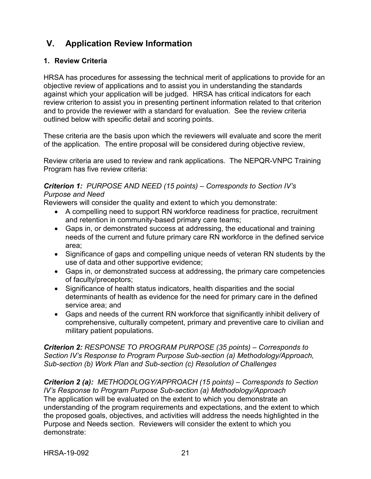# <span id="page-24-0"></span>**V. Application Review Information**

#### <span id="page-24-1"></span>**1. Review Criteria**

HRSA has procedures for assessing the technical merit of applications to provide for an objective review of applications and to assist you in understanding the standards against which your application will be judged. HRSA has critical indicators for each review criterion to assist you in presenting pertinent information related to that criterion and to provide the reviewer with a standard for evaluation. See the review criteria outlined below with specific detail and scoring points.

These criteria are the basis upon which the reviewers will evaluate and score the merit of the application. The entire proposal will be considered during objective review,

Review criteria are used to review and rank applications. The NEPQR-VNPC Training Program has five review criteria:

#### *Criterion 1: PURPOSE AND NEED (15 points) – Corresponds to Section IV's Purpose and Need*

Reviewers will consider the quality and extent to which you demonstrate:

- A compelling need to support RN workforce readiness for practice, recruitment and retention in community-based primary care teams;
- Gaps in, or demonstrated success at addressing, the educational and training needs of the current and future primary care RN workforce in the defined service area;
- Significance of gaps and compelling unique needs of veteran RN students by the use of data and other supportive evidence;
- Gaps in, or demonstrated success at addressing, the primary care competencies of faculty/preceptors;
- Significance of health status indicators, health disparities and the social determinants of health as evidence for the need for primary care in the defined service area; and
- Gaps and needs of the current RN workforce that significantly inhibit delivery of comprehensive, culturally competent, primary and preventive care to civilian and military patient populations.

*Criterion 2: RESPONSE TO PROGRAM PURPOSE (35 points) – Corresponds to Section IV's Response to Program Purpose Sub-section (a) Methodology/Approach, Sub-section (b) Work Plan and Sub-section (c) Resolution of Challenges*

*Criterion 2 (a): METHODOLOGY/APPROACH (15 points) – Corresponds to Section IV's Response to Program Purpose Sub-section (a) Methodology/Approach* The application will be evaluated on the extent to which you demonstrate an understanding of the program requirements and expectations, and the extent to which the proposed goals, objectives, and activities will address the needs highlighted in the Purpose and Needs section. Reviewers will consider the extent to which you demonstrate: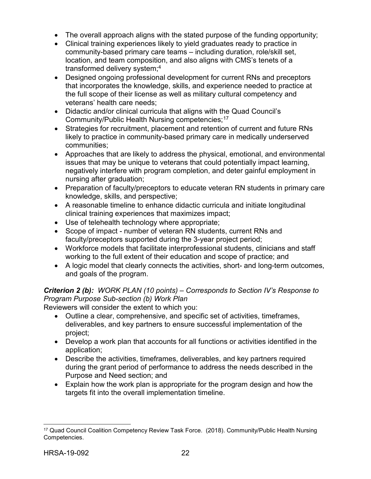- The overall approach aligns with the stated purpose of the funding opportunity;
- Clinical training experiences likely to yield graduates ready to practice in community-based primary care teams – including duration, role/skill set, location, and team composition, and also aligns with CMS's tenets of a transformed delivery system;4
- Designed ongoing professional development for current RNs and preceptors that incorporates the knowledge, skills, and experience needed to practice at the full scope of their license as well as military cultural competency and veterans' health care needs;
- Didactic and/or clinical curricula that aligns with the Quad Council's Community/Public Health Nursing competencies;[17](#page-25-0)
- Strategies for recruitment, placement and retention of current and future RNs likely to practice in community-based primary care in medically underserved communities;
- Approaches that are likely to address the physical, emotional, and environmental issues that may be unique to veterans that could potentially impact learning, negatively interfere with program completion, and deter gainful employment in nursing after graduation;
- Preparation of faculty/preceptors to educate veteran RN students in primary care knowledge, skills, and perspective;
- A reasonable timeline to enhance didactic curricula and initiate longitudinal clinical training experiences that maximizes impact;
- Use of telehealth technology where appropriate;
- Scope of impact number of veteran RN students, current RNs and faculty/preceptors supported during the 3-year project period;
- Workforce models that facilitate interprofessional students, clinicians and staff working to the full extent of their education and scope of practice; and
- A logic model that clearly connects the activities, short- and long-term outcomes, and goals of the program.

#### *Criterion 2 (b): WORK PLAN (10 points) – Corresponds to Section IV's Response to Program Purpose Sub-section (b) Work Plan*

Reviewers will consider the extent to which you:

- Outline a clear, comprehensive, and specific set of activities, timeframes, deliverables, and key partners to ensure successful implementation of the project;
- Develop a work plan that accounts for all functions or activities identified in the application;
- Describe the activities, timeframes, deliverables, and key partners required during the grant period of performance to address the needs described in the Purpose and Need section; and
- Explain how the work plan is appropriate for the program design and how the targets fit into the overall implementation timeline.

<span id="page-25-0"></span> $\overline{a}$ <sup>17</sup> Quad Council Coalition Competency Review Task Force. (2018). Community/Public Health Nursing Competencies.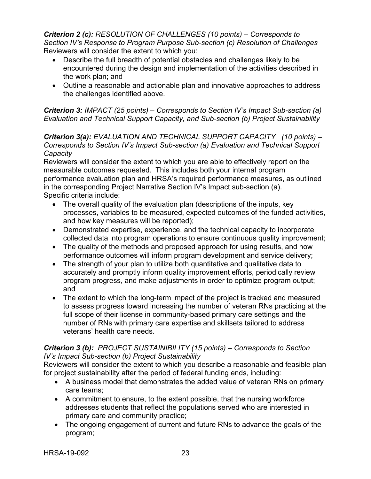*Criterion 2 (c): RESOLUTION OF CHALLENGES (10 points) – Corresponds to Section IV's Response to Program Purpose Sub-section (c) Resolution of Challenges* Reviewers will consider the extent to which you:

- Describe the full breadth of potential obstacles and challenges likely to be encountered during the design and implementation of the activities described in the work plan; and
- Outline a reasonable and actionable plan and innovative approaches to address the challenges identified above.

*Criterion 3: IMPACT (25 points) – Corresponds to Section IV's Impact Sub-section (a) Evaluation and Technical Support Capacity, and Sub-section (b) Project Sustainability*

*Criterion 3(a): EVALUATION AND TECHNICAL SUPPORT CAPACITY (10 points) – Corresponds to Section IV's Impact Sub-section (a) Evaluation and Technical Support Capacity* 

Reviewers will consider the extent to which you are able to effectively report on the measurable outcomes requested. This includes both your internal program performance evaluation plan and HRSA's required performance measures, as outlined in the corresponding Project Narrative Section IV's Impact sub-section (a). Specific criteria include:

- The overall quality of the evaluation plan (descriptions of the inputs, key processes, variables to be measured, expected outcomes of the funded activities, and how key measures will be reported);
- Demonstrated expertise, experience, and the technical capacity to incorporate collected data into program operations to ensure continuous quality improvement;
- The quality of the methods and proposed approach for using results, and how performance outcomes will inform program development and service delivery;
- The strength of your plan to utilize both quantitative and qualitative data to accurately and promptly inform quality improvement efforts, periodically review program progress, and make adjustments in order to optimize program output; and
- The extent to which the long-term impact of the project is tracked and measured to assess progress toward increasing the number of veteran RNs practicing at the full scope of their license in community-based primary care settings and the number of RNs with primary care expertise and skillsets tailored to address veterans' health care needs.

#### *Criterion 3 (b): PROJECT SUSTAINIBILITY (15 points) – Corresponds to Section IV's Impact Sub-section (b) Project Sustainability*

Reviewers will consider the extent to which you describe a reasonable and feasible plan for project sustainability after the period of federal funding ends, including:

- A business model that demonstrates the added value of veteran RNs on primary care teams;
- A commitment to ensure, to the extent possible, that the nursing workforce addresses students that reflect the populations served who are interested in primary care and community practice;
- The ongoing engagement of current and future RNs to advance the goals of the program;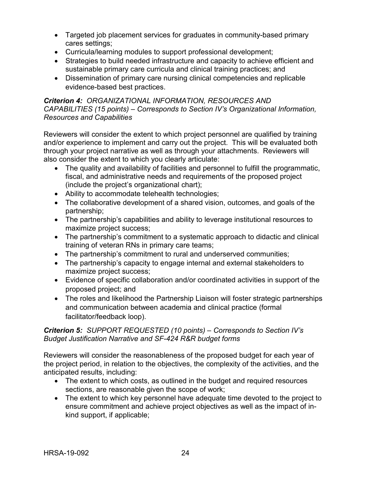- Targeted job placement services for graduates in community-based primary cares settings;
- Curricula/learning modules to support professional development;
- Strategies to build needed infrastructure and capacity to achieve efficient and sustainable primary care curricula and clinical training practices; and
- Dissemination of primary care nursing clinical competencies and replicable evidence-based best practices.

#### *Criterion 4: ORGANIZATIONAL INFORMATION, RESOURCES AND CAPABILITIES (15 points) – Corresponds to Section IV's Organizational Information, Resources and Capabilities*

Reviewers will consider the extent to which project personnel are qualified by training and/or experience to implement and carry out the project. This will be evaluated both through your project narrative as well as through your attachments. Reviewers will also consider the extent to which you clearly articulate:

- The quality and availability of facilities and personnel to fulfill the programmatic, fiscal, and administrative needs and requirements of the proposed project (include the project's organizational chart);
- Ability to accommodate telehealth technologies;
- The collaborative development of a shared vision, outcomes, and goals of the partnership;
- The partnership's capabilities and ability to leverage institutional resources to maximize project success;
- The partnership's commitment to a systematic approach to didactic and clinical training of veteran RNs in primary care teams;
- The partnership's commitment to rural and underserved communities;
- The partnership's capacity to engage internal and external stakeholders to maximize project success;
- Evidence of specific collaboration and/or coordinated activities in support of the proposed project; and
- The roles and likelihood the Partnership Liaison will foster strategic partnerships and communication between academia and clinical practice (formal facilitator/feedback loop).

#### *Criterion 5: SUPPORT REQUESTED (10 points) – Corresponds to Section IV's Budget Justification Narrative and SF-424 R&R budget forms*

Reviewers will consider the reasonableness of the proposed budget for each year of the project period, in relation to the objectives, the complexity of the activities, and the anticipated results, including:

- The extent to which costs, as outlined in the budget and required resources sections, are reasonable given the scope of work;
- The extent to which key personnel have adequate time devoted to the project to ensure commitment and achieve project objectives as well as the impact of inkind support, if applicable;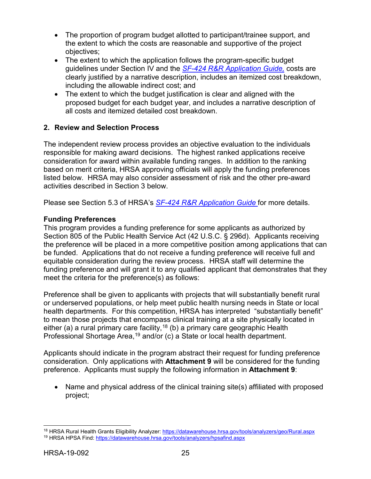- The proportion of program budget allotted to participant/trainee support, and the extent to which the costs are reasonable and supportive of the project objectives;
- The extent to which the application follows the program-specific budget guidelines under Section IV and the *SF-424 [R&R Application Guide,](http://www.hrsa.gov/grants/apply/applicationguide/sf424rrguidev2.pdf)* costs are clearly justified by a narrative description, includes an itemized cost breakdown, including the allowable indirect cost; and
- The extent to which the budget justification is clear and aligned with the proposed budget for each budget year, and includes a narrative description of all costs and itemized detailed cost breakdown.

## <span id="page-28-0"></span>**2. Review and Selection Process**

The independent review process provides an objective evaluation to the individuals responsible for making award decisions. The highest ranked applications receive consideration for award within available funding ranges. In addition to the ranking based on merit criteria, HRSA approving officials will apply the funding preferences listed below. HRSA may also consider assessment of risk and the other pre-award activities described in Section 3 below.

Please see Section 5.3 of HRSA's *SF-424 [R&R Application Guide](http://www.hrsa.gov/grants/apply/applicationguide/sf424rrguidev2.pdf)* for more details.

## **Funding Preferences**

This program provides a funding preference for some applicants as authorized by Section 805 of the Public Health Service Act (42 U.S.C. § 296d). Applicants receiving the preference will be placed in a more competitive position among applications that can be funded. Applications that do not receive a funding preference will receive full and equitable consideration during the review process. HRSA staff will determine the funding preference and will grant it to any qualified applicant that demonstrates that they meet the criteria for the preference(s) as follows:

Preference shall be given to applicants with projects that will substantially benefit rural or underserved populations, or help meet public health nursing needs in State or local health departments. For this competition, HRSA has interpreted "substantially benefit" to mean those projects that encompass clinical training at a site physically located in either (a) a rural primary care facility,<sup>[18](#page-28-1)</sup> (b) a primary care geographic Health Professional Shortage Area,<sup>[19](#page-28-2)</sup> and/or (c) a State or local health department.

Applicants should indicate in the program abstract their request for funding preference consideration. Only applications with **Attachment 9** will be considered for the funding preference. Applicants must supply the following information in **Attachment 9**:

• Name and physical address of the clinical training site(s) affiliated with proposed project;

 $\overline{a}$ 

<span id="page-28-2"></span><span id="page-28-1"></span><sup>&</sup>lt;sup>18</sup> HRSA Rural Health Grants Eligibility Analyzer: <u>https://datawarehouse.hrsa.gov/tools/analyzers/geo/Rural.aspx</u> <sup>19</sup> HRSA HPSA Find:<https://datawarehouse.hrsa.gov/tools/analyzers/hpsafind.aspx>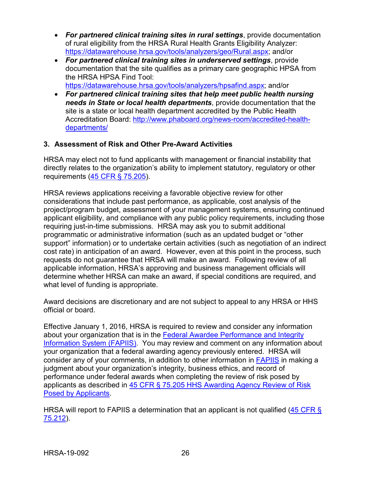- *For partnered clinical training sites in rural settings*, provide documentation of rural eligibility from the HRSA Rural Health Grants Eligibility Analyzer: [https://datawarehouse.hrsa.gov/tools/analyzers/geo/Rural.aspx;](https://datawarehouse.hrsa.gov/tools/analyzers/geo/Rural.aspx) and/or
- *For partnered clinical training sites in underserved settings*, provide documentation that the site qualifies as a primary care geographic HPSA from the HRSA HPSA Find Tool:

[https://datawarehouse.hrsa.gov/tools/analyzers/hpsafind.aspx;](https://datawarehouse.hrsa.gov/tools/analyzers/hpsafind.aspx) and/or

• *For partnered clinical training sites that help meet public health nursing needs in State or local health departments*, provide documentation that the site is a state or local health department accredited by the Public Health Accreditation Board: [http://www.phaboard.org/news-room/accredited-health](http://www.phaboard.org/news-room/accredited-health-departments/)[departments/](http://www.phaboard.org/news-room/accredited-health-departments/)

## <span id="page-29-0"></span>**3. Assessment of Risk and Other Pre-Award Activities**

HRSA may elect not to fund applicants with management or financial instability that directly relates to the organization's ability to implement statutory, regulatory or other requirements [\(45 CFR § 75.205\)](http://www.ecfr.gov/cgi-bin/retrieveECFR?gp=1&SID=4d52364ec83fab994c665943dadf9cf7&ty=HTML&h=L&r=PART&n=pt45.1.75).

HRSA reviews applications receiving a favorable objective review for other considerations that include past performance, as applicable, cost analysis of the project/program budget, assessment of your management systems, ensuring continued applicant eligibility, and compliance with any public policy requirements, including those requiring just-in-time submissions. HRSA may ask you to submit additional programmatic or administrative information (such as an updated budget or "other support" information) or to undertake certain activities (such as negotiation of an indirect cost rate) in anticipation of an award. However, even at this point in the process, such requests do not guarantee that HRSA will make an award. Following review of all applicable information, HRSA's approving and business management officials will determine whether HRSA can make an award, if special conditions are required, and what level of funding is appropriate.

Award decisions are discretionary and are not subject to appeal to any HRSA or HHS official or board.

Effective January 1, 2016, HRSA is required to review and consider any information about your organization that is in the [Federal Awardee Performance and Integrity](https://www.fapiis.gov/)  [Information System \(FAPIIS\).](https://www.fapiis.gov/) You may review and comment on any information about your organization that a federal awarding agency previously entered. HRSA will consider any of your comments, in addition to other information in [FAPIIS](https://www.fapiis.gov/) in making a judgment about your organization's integrity, business ethics, and record of performance under federal awards when completing the review of risk posed by applicants as described in [45 CFR § 75.205 HHS Awarding Agency Review of Risk](http://www.ecfr.gov/cgi-bin/text-idx?node=pt45.1.75)  [Posed by Applicants.](http://www.ecfr.gov/cgi-bin/text-idx?node=pt45.1.75)

HRSA will report to FAPIIS a determination that an applicant is not qualified (45 CFR § [75.212\)](http://www.ecfr.gov/cgi-bin/text-idx?node=pt45.1.75).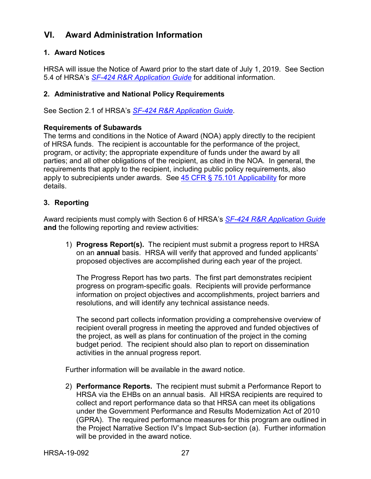## <span id="page-30-0"></span>**VI. Award Administration Information**

#### <span id="page-30-1"></span>**1. Award Notices**

HRSA will issue the Notice of Award prior to the start date of July 1, 2019. See Section 5.4 of HRSA's *SF-424 [R&R Application Guide](http://www.hrsa.gov/grants/apply/applicationguide/sf424rrguidev2.pdf)* for additional information.

#### <span id="page-30-2"></span>**2. Administrative and National Policy Requirements**

See Section 2.1 of HRSA's *SF-424 [R&R Application Guide](http://www.hrsa.gov/grants/apply/applicationguide/sf424rrguidev2.pdf)*.

#### **Requirements of Subawards**

The terms and conditions in the Notice of Award (NOA) apply directly to the recipient of HRSA funds. The recipient is accountable for the performance of the project, program, or activity; the appropriate expenditure of funds under the award by all parties; and all other obligations of the recipient, as cited in the NOA. In general, the requirements that apply to the recipient, including public policy requirements, also apply to subrecipients under awards. See  $45$  CFR  $\S$  75.101 Applicability for more details.

#### <span id="page-30-3"></span>**3. Reporting**

Award recipients must comply with Section 6 of HRSA's *SF-424 [R&R Application Guide](http://www.hrsa.gov/grants/apply/applicationguide/sf424rrguidev2.pdf)* **and** the following reporting and review activities:

1) **Progress Report(s).** The recipient must submit a progress report to HRSA on an **annual** basis. HRSA will verify that approved and funded applicants' proposed objectives are accomplished during each year of the project.

The Progress Report has two parts. The first part demonstrates recipient progress on program-specific goals. Recipients will provide performance information on project objectives and accomplishments, project barriers and resolutions, and will identify any technical assistance needs.

The second part collects information providing a comprehensive overview of recipient overall progress in meeting the approved and funded objectives of the project, as well as plans for continuation of the project in the coming budget period. The recipient should also plan to report on dissemination activities in the annual progress report.

Further information will be available in the award notice.

2) **Performance Reports.** The recipient must submit a Performance Report to HRSA via the EHBs on an annual basis. All HRSA recipients are required to collect and report performance data so that HRSA can meet its obligations under the Government Performance and Results Modernization Act of 2010 (GPRA). The required performance measures for this program are outlined in the Project Narrative Section IV's Impact Sub-section (a). Further information will be provided in the award notice.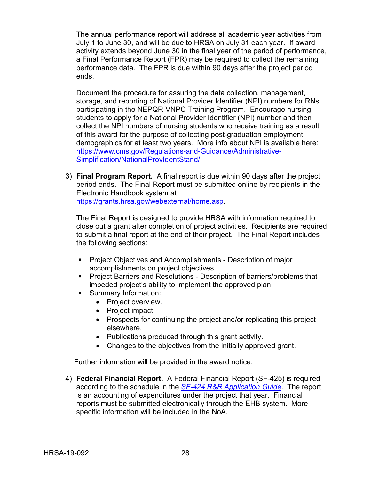The annual performance report will address all academic year activities from July 1 to June 30, and will be due to HRSA on July 31 each year. If award activity extends beyond June 30 in the final year of the period of performance, a Final Performance Report (FPR) may be required to collect the remaining performance data. The FPR is due within 90 days after the project period ends.

Document the procedure for assuring the data collection, management, storage, and reporting of National Provider Identifier (NPI) numbers for RNs participating in the NEPQR-VNPC Training Program. Encourage nursing students to apply for a National Provider Identifier (NPI) number and then collect the NPI numbers of nursing students who receive training as a result of this award for the purpose of collecting post-graduation employment demographics for at least two years. More info about NPI is available here: [https://www.cms.gov/Regulations-and-Guidance/Administrative-](https://www.cms.gov/Regulations-and-Guidance/Administrative-Simplification/NationalProvIdentStand/)[Simplification/NationalProvIdentStand/](https://www.cms.gov/Regulations-and-Guidance/Administrative-Simplification/NationalProvIdentStand/)

3) **Final Program Report.** A final report is due within 90 days after the project period ends. The Final Report must be submitted online by recipients in the Electronic Handbook system at [https://grants.hrsa.gov/webexternal/home.asp.](https://grants.hrsa.gov/webexternal/home.asp)

The Final Report is designed to provide HRSA with information required to close out a grant after completion of project activities. Recipients are required to submit a final report at the end of their project. The Final Report includes the following sections:

- **Project Objectives and Accomplishments Description of major** accomplishments on project objectives.
- **Project Barriers and Resolutions Description of barriers/problems that** impeded project's ability to implement the approved plan.
- Summary Information:
	- Project overview.
	- Project impact.
	- Prospects for continuing the project and/or replicating this project elsewhere.
	- Publications produced through this grant activity.
	- Changes to the objectives from the initially approved grant.

Further information will be provided in the award notice.

4) **Federal Financial Report.** A Federal Financial Report (SF-425) is required according to the schedule in the *SF-424 [R&R Application Guide](http://www.hrsa.gov/grants/apply/applicationguide/sf424rrguidev2.pdf)*. The report is an accounting of expenditures under the project that year. Financial reports must be submitted electronically through the EHB system. More specific information will be included in the NoA.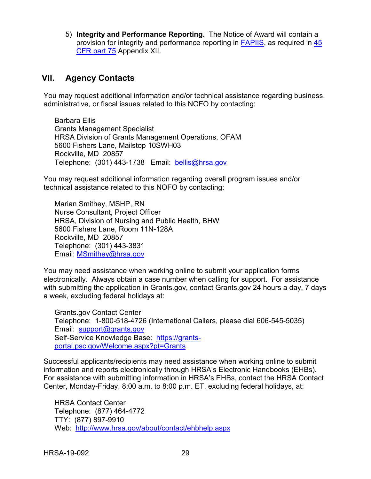5) **Integrity and Performance Reporting.** The Notice of Award will contain a provision for integrity and performance reporting in [FAPIIS,](https://www.fapiis.gov/) as required in [45](http://www.ecfr.gov/cgi-bin/retrieveECFR?gp=1&SID=4d52364ec83fab994c665943dadf9cf7&ty=HTML&h=L&r=PART&n=pt45.1.75%20-%20ap45.1.75_1521.xii)  [CFR part 75](http://www.ecfr.gov/cgi-bin/retrieveECFR?gp=1&SID=4d52364ec83fab994c665943dadf9cf7&ty=HTML&h=L&r=PART&n=pt45.1.75%20-%20ap45.1.75_1521.xii) Appendix XII.

## <span id="page-32-0"></span>**VII. Agency Contacts**

You may request additional information and/or technical assistance regarding business, administrative, or fiscal issues related to this NOFO by contacting:

Barbara Ellis Grants Management Specialist HRSA Division of Grants Management Operations, OFAM 5600 Fishers Lane, Mailstop 10SWH03 Rockville, MD 20857 Telephone: (301) 443-1738 Email: [bellis@hrsa.gov](mailto:bellis@hrsa.gov)

You may request additional information regarding overall program issues and/or technical assistance related to this NOFO by contacting:

Marian Smithey, MSHP, RN Nurse Consultant, Project Officer HRSA, Division of Nursing and Public Health, BHW 5600 Fishers Lane, Room 11N-128A Rockville, MD 20857 Telephone: (301) 443-3831 Email: [MSmithey@hrsa.gov](mailto:MSmithey@hrsa.gov)

You may need assistance when working online to submit your application forms electronically. Always obtain a case number when calling for support. For assistance with submitting the application in Grants.gov, contact Grants.gov 24 hours a day, 7 days a week, excluding federal holidays at:

Grants.gov Contact Center Telephone: 1-800-518-4726 (International Callers, please dial 606-545-5035) Email: [support@grants.gov](mailto:support@grants.gov) Self-Service Knowledge Base: [https://grants](https://grants-portal.psc.gov/Welcome.aspx?pt=Grants)[portal.psc.gov/Welcome.aspx?pt=Grants](https://grants-portal.psc.gov/Welcome.aspx?pt=Grants)

Successful applicants/recipients may need assistance when working online to submit information and reports electronically through HRSA's Electronic Handbooks (EHBs). For assistance with submitting information in HRSA's EHBs, contact the HRSA Contact Center, Monday-Friday, 8:00 a.m. to 8:00 p.m. ET, excluding federal holidays, at:

HRSA Contact Center Telephone: (877) 464-4772 TTY: (877) 897-9910 Web: <http://www.hrsa.gov/about/contact/ehbhelp.aspx>